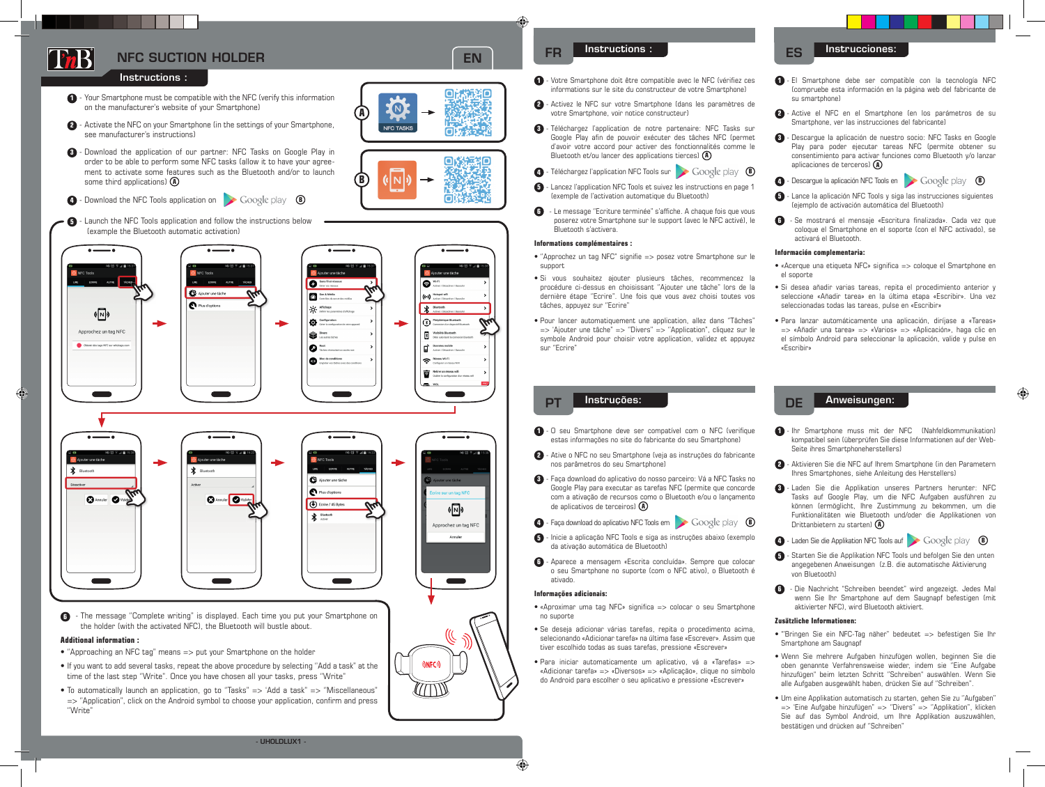

# NFC SUCTION HOLDER FR EN ES

Instructions :

- **1** Your Smartphone must be compatible with the NFC (verify this information on the manufacturer's website of your Smartphone)
- **2** Activate the NFC on your Smartphone (in the settings of your Smartphone, see manufacturer's instructions)
- **3** Download the application of our partner: NFC Tasks on Google Play in order to be able to perform some NFC tasks (allow it to have your agreement to activate some features such as the Bluetooth and/or to launch some third applications) **A**
- **4** Download the NFC Tools application on **B** Google play **B**
- **5** Launch the NFC Tools application and follow the instructions below (example the Bluetooth automatic activation)



Ecrire / 45 Bytes

 $\overline{\phantom{a}}$ 

Bluetooth

 $\mathcal{U}_4$ 

**6** - The message "Complete writing" is displayed. Each time you put your Smartphone on the holder (with the activated NFC), the Bluetooth will bustle about.

## **Additional information :**

- ''Approaching an NFC tag'' means => put your Smartphone on the holder
- If you want to add several tasks, repeat the above procedure by selecting ''Add a task'' at the time of the last step ''Write''. Once you have chosen all your tasks, press ''Write''
- To automatically launch an application, go to ''Tasks'' => 'Add a task'' => ''Miscellaneous''  $\Rightarrow$  "Application", click on the Android symbol to choose your application, confirm and press ''Write''



向线运动向 **Olks** 

**B**

- **1** Votre Smartphone doit être compatible avec le NFC (vérifiez ces informations sur le site du constructeur de votre Smartphone)
- **2** Activez le NFC sur votre Smartphone (dans les paramètres de votre Smartphone, voir notice constructeur)
- **3** Téléchargez l'application de notre partenaire: NFC Tasks sur Google Play afin de pouvoir exécuter des tâches NFC (permet d'avoir votre accord pour activer des fonctionnalités comme le Bluetooth et/ou lancer des applications tierces) **A**
- **4** Téléchargez l'application NFC Tools sur **B** Google play **B**
- **5** Lancez l'application NFC Tools et suivez les instructions en page 1 (exemple de l'activation automatique du Bluetooth)
- **6** Le message ''Ecriture terminée'' s'affiche. A chaque fois que vous poserez votre Smartphone sur le support (avec le NFC activé), le Bluetooth s'activera.

## **Informations complémentaires :**

- ''Approchez un tag NFC'' signifie => posez votre Smartphone sur le support
- Si vous souhaitez ajouter plusieurs tâches, recommencez la procédure ci-dessus en choisissant ''Ajouter une tâche'' lors de la dernière étape ''Ecrire''. Une fois que vous avez choisi toutes vos tâches, appuyez sur ''Ecrire''
- Pour lancer automatiquement une application, allez dans ''Tâches'' => 'Ajouter une tâche'' => ''Divers'' => ''Application'', cliquez sur le symbole Android pour choisir votre application, validez et appuyez sur ''Ecrire''

- **1** O seu Smartphone deve ser compatível com o NFC (verifique estas informações no site do fabricante do seu Smartphone)
- **2** Ative o NFC no seu Smartphone (veja as instruções do fabricante nos parâmetros do seu Smartphone)
- **3** Faça download do aplicativo do nosso parceiro: Vá a NFC Tasks no Google Play para executar as tarefas NFC (permite que concorde com a ativação de recursos como o Bluetooth e/ou o lançamento de aplicativos de terceiros) **A**
- **4** Faça download do aplicativo NFC Tools em **B** Google play **B**
- **5** Inicie a aplicação NFC Tools e siga as instruções abaixo (exemplo da ativação automática de Bluetooth)
- **6** Aparece a mensagem «Escrita concluída». Sempre que colocar o seu Smartphone no suporte (com o NFC ativo), o Bluetooth é ativado.

### **Informações adicionais:**

- «Aproximar uma tag NFC» significa => colocar o seu Smartphone no suporte
- Se deseja adicionar várias tarefas, repita o procedimento acima selecionando «Adicionar tarefa» na última fase «Escrever». Assim que tiver escolhido todas as suas tarefas, pressione «Escrever»
- Para iniciar automaticamente um aplicativo, vá a «Tarefas» => «Adicionar tarefa» => «Diversos» => «Aplicação», clique no símbolo do Android para escolher o seu aplicativo e pressione «Escrever»

**1** - El Smartphone debe ser compatible con la tecnología NFC (compruebe esta información en la página web del fabricante de su smartphone)

Instrucciones:

- **2** Active el NFC en el Smartphone (en los parámetros de su Smartphone, ver las instrucciones del fabricante)
- **3** Descargue la aplicación de nuestro socio: NFC Tasks en Google Play para poder ejecutar tareas NFC (permite obtener su consentimiento para activar funciones como Bluetooth y/o lanzar aplicaciones de terceros) **A**

**4** - Descargue la aplicación NFC Tools en **B** Google play **B** 

- **5** Lance la aplicación NFC Tools y siga las instrucciones siguientes (ejemplo de activación automática del Bluetooth)
- **6** Se mostrará el mensaje «Escritura finalizada». Cada vez que coloque el Smartphone en el soporte (con el NFC activado), se activará el Bluetooth.

## **Información complementaria:**

- «Acerque una etiqueta NFC» significa => coloque el Smartphone en el soporte
- Si desea añadir varias tareas, repita el procedimiento anterior y seleccione «Añadir tarea» en la última etapa «Escribir». Una vez seleccionadas todas las tareas, pulse en «Escribir»
- Para lanzar automáticamente una aplicación, diríjase a «Tareas»  $\Rightarrow$  « $\Delta$ ñadir una tarea»  $\Rightarrow$  «Varios»  $\Rightarrow$  « $\Delta$ plicación», haga clic en el símbolo Android para seleccionar la aplicación, valide y pulse en «Escribir»

## PT Instruções: Anweisungen:

**1** - Ihr Smartphone muss mit der NFC (Nahfeldkommunikation) kompatibel sein (überprüfen Sie diese Informationen auf der Web-Seite ihres Smartphoneherstellers)

⊕

- **2** Aktivieren Sie die NFC auf Ihrem Smartphone (in den Parametern Ihres Smartphones, siehe Anleitung des Herstellers)
- **3** Laden Sie die Applikation unseres Partners herunter: NFC Tasks auf Google Play, um die NFC Aufgaben ausführen zu können (ermöglicht, Ihre Zustimmung zu bekommen, um die Funktionalitäten wie Bluetooth und/oder die Applikationen von Drittanbietern zu starten) **A**

**4** - Laden Sie die Applikation NFC Tools auf **B** Google play **B** 

- **5** Starten Sie die Applikation NFC Tools und befolgen Sie den unten angegebenen Anweisungen (z.B. die automatische Aktivierung von Bluetooth)
- **6** Die Nachricht "Schreiben beendet'' wird angezeigt. Jedes Mal wenn Sie Ihr Smartphone auf dem Saugnapf befestigen (mit aktivierter NFC), wird Bluetooth aktiviert.

## **Zusätzliche Informationen:**

- '''Bringen Sie ein NFC-Tag näher'' bedeutet => befestigen Sie Ihr Smartphone am Saugnapf
- Wenn Sie mehrere Aufgaben hinzufügen wollen, beginnen Sie die oben genannte Verfahrensweise wieder, indem sie ''Eine Aufgabe hinzufügen" beim letzten Schritt ''Schreiben" auswählen. Wenn Sie alle Aufgaben ausgewählt haben, drücken Sie auf ''Schreiben''.
- Um eine Applikation automatisch zu starten, gehen Sie zu ''Aufgaben'' => 'Eine Aufgabe hinzufügen'' => ''Divers'' => ''Applikation'', klicken Sie auf das Symbol Android, um Ihre Applikation auszuwählen, bestätigen und drücken auf ''Schreiben''

o)NFCo)

(同)

Approchez un tag NF Annule

◈